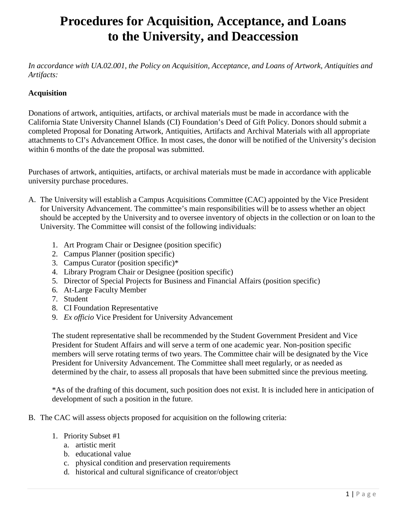*In accordance with UA.02.001, the Policy on Acquisition, Acceptance, and Loans of Artwork, Antiquities and Artifacts:*

#### **Acquisition**

Donations of artwork, antiquities, artifacts, or archival materials must be made in accordance with the California State University Channel Islands (CI) Foundation's Deed of Gift Policy. Donors should submit a completed Proposal for Donating Artwork, Antiquities, Artifacts and Archival Materials with all appropriate attachments to CI's Advancement Office. In most cases, the donor will be notified of the University's decision within 6 months of the date the proposal was submitted.

Purchases of artwork, antiquities, artifacts, or archival materials must be made in accordance with applicable university purchase procedures.

- A. The University will establish a Campus Acquisitions Committee (CAC) appointed by the Vice President for University Advancement. The committee's main responsibilities will be to assess whether an object should be accepted by the University and to oversee inventory of objects in the collection or on loan to the University. The Committee will consist of the following individuals:
	- 1. Art Program Chair or Designee (position specific)
	- 2. Campus Planner (position specific)
	- 3. Campus Curator (position specific)\*
	- 4. Library Program Chair or Designee (position specific)
	- 5. Director of Special Projects for Business and Financial Affairs (position specific)
	- 6. At-Large Faculty Member
	- 7. Student
	- 8. CI Foundation Representative
	- 9. *Ex officio* Vice President for University Advancement

The student representative shall be recommended by the Student Government President and Vice President for Student Affairs and will serve a term of one academic year. Non-position specific members will serve rotating terms of two years. The Committee chair will be designated by the Vice President for University Advancement. The Committee shall meet regularly, or as needed as determined by the chair, to assess all proposals that have been submitted since the previous meeting.

\*As of the drafting of this document, such position does not exist. It is included here in anticipation of development of such a position in the future.

- B. The CAC will assess objects proposed for acquisition on the following criteria:
	- 1. Priority Subset #1
		- a. artistic merit
		- b. educational value
		- c. physical condition and preservation requirements
		- d. historical and cultural significance of creator/object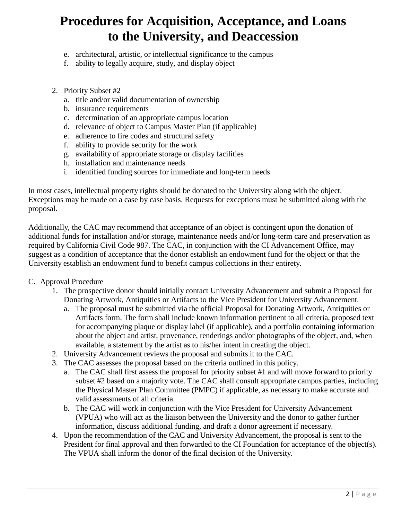- e. architectural, artistic, or intellectual significance to the campus
- f. ability to legally acquire, study, and display object
- 2. Priority Subset #2
	- a. title and/or valid documentation of ownership
	- b. insurance requirements
	- c. determination of an appropriate campus location
	- d. relevance of object to Campus Master Plan (if applicable)
	- e. adherence to fire codes and structural safety
	- f. ability to provide security for the work
	- g. availability of appropriate storage or display facilities
	- h. installation and maintenance needs
	- i. identified funding sources for immediate and long-term needs

In most cases, intellectual property rights should be donated to the University along with the object. Exceptions may be made on a case by case basis. Requests for exceptions must be submitted along with the proposal.

Additionally, the CAC may recommend that acceptance of an object is contingent upon the donation of additional funds for installation and/or storage, maintenance needs and/or long-term care and preservation as required by California Civil Code 987. The CAC, in conjunction with the CI Advancement Office, may suggest as a condition of acceptance that the donor establish an endowment fund for the object or that the University establish an endowment fund to benefit campus collections in their entirety.

#### C. Approval Procedure

- 1. The prospective donor should initially contact University Advancement and submit a Proposal for Donating Artwork, Antiquities or Artifacts to the Vice President for University Advancement.
	- a. The proposal must be submitted via the official Proposal for Donating Artwork, Antiquities or Artifacts form. The form shall include known information pertinent to all criteria, proposed text for accompanying plaque or display label (if applicable), and a portfolio containing information about the object and artist, provenance, renderings and/or photographs of the object, and, when available, a statement by the artist as to his/her intent in creating the object.
- 2. University Advancement reviews the proposal and submits it to the CAC.
- 3. The CAC assesses the proposal based on the criteria outlined in this policy.
	- a. The CAC shall first assess the proposal for priority subset #1 and will move forward to priority subset #2 based on a majority vote. The CAC shall consult appropriate campus parties, including the Physical Master Plan Committee (PMPC) if applicable, as necessary to make accurate and valid assessments of all criteria.
	- b. The CAC will work in conjunction with the Vice President for University Advancement (VPUA) who will act as the liaison between the University and the donor to gather further information, discuss additional funding, and draft a donor agreement if necessary.
- 4. Upon the recommendation of the CAC and University Advancement, the proposal is sent to the President for final approval and then forwarded to the CI Foundation for acceptance of the object(s). The VPUA shall inform the donor of the final decision of the University.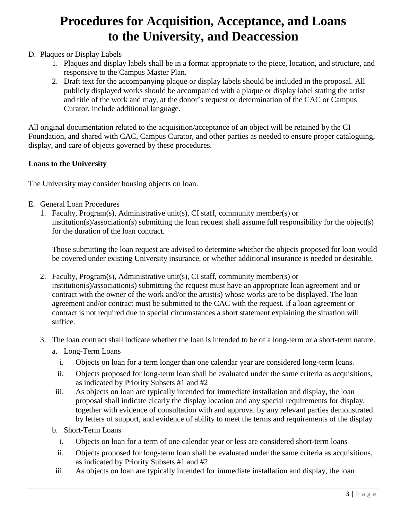### D. Plaques or Display Labels

- 1. Plaques and display labels shall be in a format appropriate to the piece, location, and structure, and responsive to the Campus Master Plan.
- 2. Draft text for the accompanying plaque or display labels should be included in the proposal. All publicly displayed works should be accompanied with a plaque or display label stating the artist and title of the work and may, at the donor's request or determination of the CAC or Campus Curator, include additional language.

All original documentation related to the acquisition/acceptance of an object will be retained by the CI Foundation, and shared with CAC, Campus Curator, and other parties as needed to ensure proper cataloguing, display, and care of objects governed by these procedures.

#### **Loans to the University**

The University may consider housing objects on loan.

- E. General Loan Procedures
	- 1. Faculty, Program(s), Administrative unit(s), CI staff, community member(s) or institution(s)/association(s) submitting the loan request shall assume full responsibility for the object(s) for the duration of the loan contract.

Those submitting the loan request are advised to determine whether the objects proposed for loan would be covered under existing University insurance, or whether additional insurance is needed or desirable.

- 2. Faculty, Program(s), Administrative unit(s), CI staff, community member(s) or institution(s)/association(s) submitting the request must have an appropriate loan agreement and or contract with the owner of the work and/or the artist(s) whose works are to be displayed. The loan agreement and/or contract must be submitted to the CAC with the request. If a loan agreement or contract is not required due to special circumstances a short statement explaining the situation will suffice.
- 3. The loan contract shall indicate whether the loan is intended to be of a long-term or a short-term nature.
	- a. Long-Term Loans
		- i. Objects on loan for a term longer than one calendar year are considered long-term loans.
		- ii. Objects proposed for long-term loan shall be evaluated under the same criteria as acquisitions, as indicated by Priority Subsets #1 and #2
	- iii. As objects on loan are typically intended for immediate installation and display, the loan proposal shall indicate clearly the display location and any special requirements for display, together with evidence of consultation with and approval by any relevant parties demonstrated by letters of support, and evidence of ability to meet the terms and requirements of the display
	- b. Short-Term Loans
		- i. Objects on loan for a term of one calendar year or less are considered short-term loans
		- ii. Objects proposed for long-term loan shall be evaluated under the same criteria as acquisitions, as indicated by Priority Subsets #1 and #2
	- iii. As objects on loan are typically intended for immediate installation and display, the loan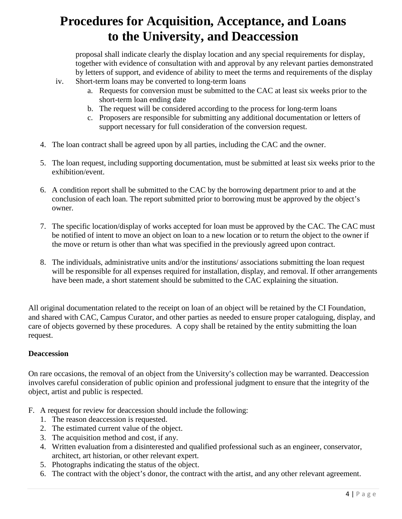proposal shall indicate clearly the display location and any special requirements for display, together with evidence of consultation with and approval by any relevant parties demonstrated by letters of support, and evidence of ability to meet the terms and requirements of the display

- iv. Short-term loans may be converted to long-term loans
	- a. Requests for conversion must be submitted to the CAC at least six weeks prior to the short-term loan ending date
	- b. The request will be considered according to the process for long-term loans
	- c. Proposers are responsible for submitting any additional documentation or letters of support necessary for full consideration of the conversion request.
- 4. The loan contract shall be agreed upon by all parties, including the CAC and the owner.
- 5. The loan request, including supporting documentation, must be submitted at least six weeks prior to the exhibition/event.
- 6. A condition report shall be submitted to the CAC by the borrowing department prior to and at the conclusion of each loan. The report submitted prior to borrowing must be approved by the object's owner.
- 7. The specific location/display of works accepted for loan must be approved by the CAC. The CAC must be notified of intent to move an object on loan to a new location or to return the object to the owner if the move or return is other than what was specified in the previously agreed upon contract.
- 8. The individuals, administrative units and/or the institutions/ associations submitting the loan request will be responsible for all expenses required for installation, display, and removal. If other arrangements have been made, a short statement should be submitted to the CAC explaining the situation.

All original documentation related to the receipt on loan of an object will be retained by the CI Foundation, and shared with CAC, Campus Curator, and other parties as needed to ensure proper cataloguing, display, and care of objects governed by these procedures. A copy shall be retained by the entity submitting the loan request.

#### **Deaccession**

On rare occasions, the removal of an object from the University's collection may be warranted. Deaccession involves careful consideration of public opinion and professional judgment to ensure that the integrity of the object, artist and public is respected.

- F. A request for review for deaccession should include the following:
	- 1. The reason deaccession is requested.
	- 2. The estimated current value of the object.
	- 3. The acquisition method and cost, if any.
	- 4. Written evaluation from a disinterested and qualified professional such as an engineer, conservator, architect, art historian, or other relevant expert.
	- 5. Photographs indicating the status of the object.
	- 6. The contract with the object's donor, the contract with the artist, and any other relevant agreement.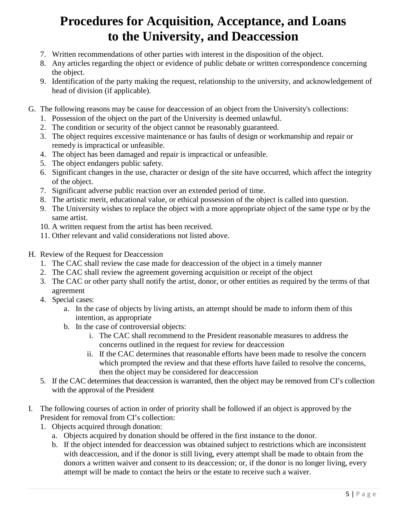- 7. Written recommendations of other parties with interest in the disposition of the object.
- 8. Any articles regarding the object or evidence of public debate or written correspondence concerning the object.
- 9. Identification of the party making the request, relationship to the university, and acknowledgement of head of division (if applicable).
- G. The following reasons may be cause for deaccession of an object from the University's collections:
	- 1. Possession of the object on the part of the University is deemed unlawful.
	- 2. The condition or security of the object cannot be reasonably guaranteed.
	- 3. The object requires excessive maintenance or has faults of design or workmanship and repair or remedy is impractical or unfeasible.
	- 4. The object has been damaged and repair is impractical or unfeasible.
	- 5. The object endangers public safety.
	- 6. Significant changes in the use, character or design of the site have occurred, which affect the integrity of the object.
	- 7. Significant adverse public reaction over an extended period of time.
	- 8. The artistic merit, educational value, or ethical possession of the object is called into question.
	- 9. The University wishes to replace the object with a more appropriate object of the same type or by the same artist.
	- 10. A written request from the artist has been received.
	- 11. Other relevant and valid considerations not listed above.
- H. Review of the Request for Deaccession
	- 1. The CAC shall review the case made for deaccession of the object in a timely manner
	- 2. The CAC shall review the agreement governing acquisition or receipt of the object
	- 3. The CAC or other party shall notify the artist, donor, or other entities as required by the terms of that agreement
	- 4. Special cases:
		- a. In the case of objects by living artists, an attempt should be made to inform them of this intention, as appropriate
		- b. In the case of controversial objects:
			- i. The CAC shall recommend to the President reasonable measures to address the concerns outlined in the request for review for deaccession
			- ii. If the CAC determines that reasonable efforts have been made to resolve the concern which prompted the review and that these efforts have failed to resolve the concerns, then the object may be considered for deaccession
	- 5. If the CAC determines that deaccession is warranted, then the object may be removed from CI's collection with the approval of the President
- I. The following courses of action in order of priority shall be followed if an object is approved by the President for removal from CI's collection:
	- 1. Objects acquired through donation:
		- a. Objects acquired by donation should be offered in the first instance to the donor.
		- b. If the object intended for deaccession was obtained subject to restrictions which are inconsistent with deaccession, and if the donor is still living, every attempt shall be made to obtain from the donors a written waiver and consent to its deaccession; or, if the donor is no longer living, every attempt will be made to contact the heirs or the estate to receive such a waiver.